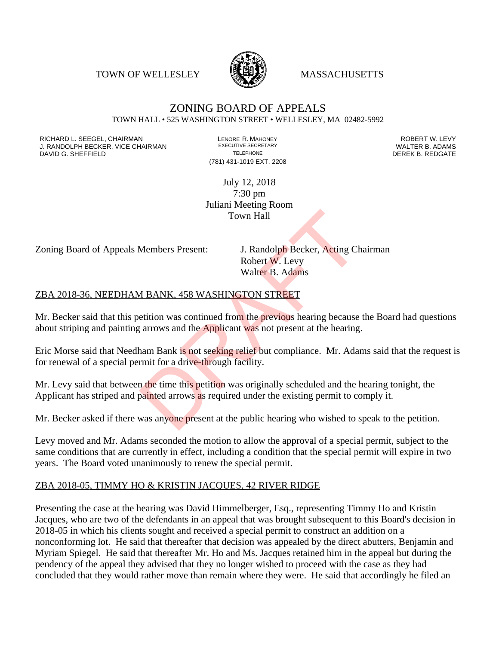TOWN OF WELLESLEY WASSACHUSETTS



#### ZONING BOARD OF APPEALS TOWN HALL • 525 WASHINGTON STREET • WELLESLEY, MA 02482-5992

RICHARD L. SEEGEL, CHAIRMAN LENORE R. MAHONEY LENORE R. MAHONEY LEVY ROBERT W. LEVY LEVY LEVY LEVY LEVY LEVY LE<br>
J. RANDOLPH BECKER, VICE CHAIRMAN LEXECUTIVE SECRETARY LETTER AND LEVEL B. ADAMS J. RANDOLPH BECKER, VICE CHAIRMAN EXECUTIVE SECRETARY THE SECRETARY THE SANDOLPH BECKER B. ADAMS<br>DEREK B. REDGATE DAVID G. SHEFFIELD

(781) 431-1019 EXT. 2208

July 12, 2018 7:30 pm Juliani Meeting Room Town Hall

Zoning Board of Appeals Members Present: J. Randolph Becker, Acting Chairman

Robert W. Levy Walter B. Adams

#### ZBA 2018-36, NEEDHAM BANK, 458 WASHINGTON STREET

Mr. Becker said that this petition was continued from the previous hearing because the Board had questions about striping and painting arrows and the Applicant was not present at the hearing. Town Hall<br>Members Present: J. Randolph Becker, Acting Charl Robert W. Levy<br>Walter B. Adams<br>M BANK, 458 WASHINGTON STREET<br>etition was continued from the previous hearing because<br>arrows and the Applicant was not present at t

Eric Morse said that Needham Bank is not seeking relief but compliance. Mr. Adams said that the request is for renewal of a special permit for a drive-through facility.

Mr. Levy said that between the time this petition was originally scheduled and the hearing tonight, the Applicant has striped and painted arrows as required under the existing permit to comply it.

Mr. Becker asked if there was anyone present at the public hearing who wished to speak to the petition.

Levy moved and Mr. Adams seconded the motion to allow the approval of a special permit, subject to the same conditions that are currently in effect, including a condition that the special permit will expire in two years. The Board voted unanimously to renew the special permit.

#### ZBA 2018-05, TIMMY HO & KRISTIN JACQUES, 42 RIVER RIDGE

Presenting the case at the hearing was David Himmelberger, Esq., representing Timmy Ho and Kristin Jacques, who are two of the defendants in an appeal that was brought subsequent to this Board's decision in 2018-05 in which his clients sought and received a special permit to construct an addition on a nonconforming lot. He said that thereafter that decision was appealed by the direct abutters, Benjamin and Myriam Spiegel. He said that thereafter Mr. Ho and Ms. Jacques retained him in the appeal but during the pendency of the appeal they advised that they no longer wished to proceed with the case as they had concluded that they would rather move than remain where they were. He said that accordingly he filed an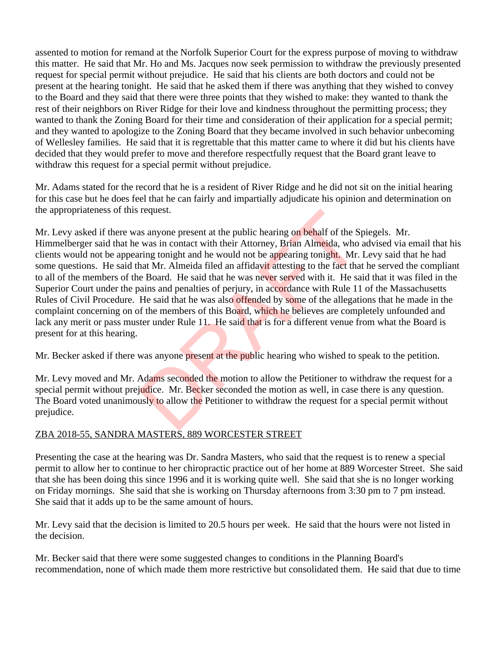assented to motion for remand at the Norfolk Superior Court for the express purpose of moving to withdraw this matter. He said that Mr. Ho and Ms. Jacques now seek permission to withdraw the previously presented request for special permit without prejudice. He said that his clients are both doctors and could not be present at the hearing tonight. He said that he asked them if there was anything that they wished to convey to the Board and they said that there were three points that they wished to make: they wanted to thank the rest of their neighbors on River Ridge for their love and kindness throughout the permitting process; they wanted to thank the Zoning Board for their time and consideration of their application for a special permit; and they wanted to apologize to the Zoning Board that they became involved in such behavior unbecoming of Wellesley families. He said that it is regrettable that this matter came to where it did but his clients have decided that they would prefer to move and therefore respectfully request that the Board grant leave to withdraw this request for a special permit without prejudice.

Mr. Adams stated for the record that he is a resident of River Ridge and he did not sit on the initial hearing for this case but he does feel that he can fairly and impartially adjudicate his opinion and determination on the appropriateness of this request.

Mr. Levy asked if there was anyone present at the public hearing on behalf of the Spiegels. Mr. Himmelberger said that he was in contact with their Attorney, Brian Almeida, who advised via email that his clients would not be appearing tonight and he would not be appearing tonight. Mr. Levy said that he had some questions. He said that Mr. Almeida filed an affidavit attesting to the fact that he served the compliant to all of the members of the Board. He said that he was never served with it. He said that it was filed in the Superior Court under the pains and penalties of perjury, in accordance with Rule 11 of the Massachusetts Rules of Civil Procedure. He said that he was also offended by some of the allegations that he made in the complaint concerning on of the members of this Board, which he believes are completely unfounded and lack any merit or pass muster under Rule 11. He said that is for a different venue from what the Board is present for at this hearing. request.<br>
as anyone present at the public hearing on behalf of the S<br>
was in contact with their Attorney, Brian Almeida, who<br>
hat Mr. Almeida filed an affidavit attesting to the fact than<br>
e Board. He said that he was neve

Mr. Becker asked if there was anyone present at the public hearing who wished to speak to the petition.

Mr. Levy moved and Mr. Adams seconded the motion to allow the Petitioner to withdraw the request for a special permit without prejudice. Mr. Becker seconded the motion as well, in case there is any question. The Board voted unanimously to allow the Petitioner to withdraw the request for a special permit without prejudice.

### ZBA 2018-55, SANDRA MASTERS, 889 WORCESTER STREET

Presenting the case at the hearing was Dr. Sandra Masters, who said that the request is to renew a special permit to allow her to continue to her chiropractic practice out of her home at 889 Worcester Street. She said that she has been doing this since 1996 and it is working quite well. She said that she is no longer working on Friday mornings. She said that she is working on Thursday afternoons from 3:30 pm to 7 pm instead. She said that it adds up to be the same amount of hours.

Mr. Levy said that the decision is limited to 20.5 hours per week. He said that the hours were not listed in the decision.

Mr. Becker said that there were some suggested changes to conditions in the Planning Board's recommendation, none of which made them more restrictive but consolidated them. He said that due to time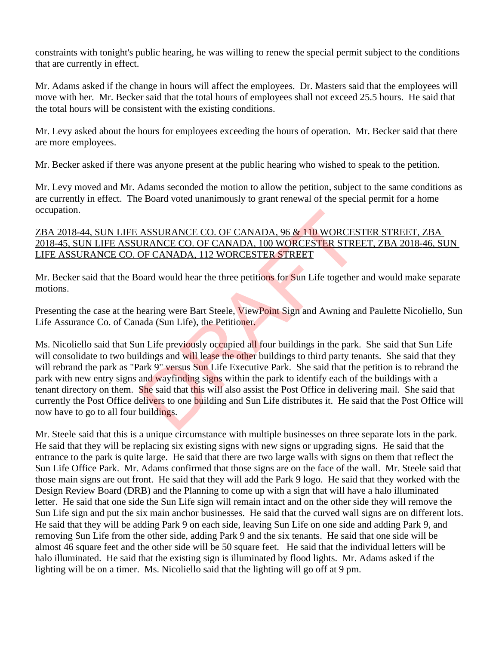constraints with tonight's public hearing, he was willing to renew the special permit subject to the conditions that are currently in effect.

Mr. Adams asked if the change in hours will affect the employees. Dr. Masters said that the employees will move with her. Mr. Becker said that the total hours of employees shall not exceed 25.5 hours. He said that the total hours will be consistent with the existing conditions.

Mr. Levy asked about the hours for employees exceeding the hours of operation. Mr. Becker said that there are more employees.

Mr. Becker asked if there was anyone present at the public hearing who wished to speak to the petition.

Mr. Levy moved and Mr. Adams seconded the motion to allow the petition, subject to the same conditions as are currently in effect. The Board voted unanimously to grant renewal of the special permit for a home occupation.

## ZBA 2018-44, SUN LIFE ASSURANCE CO. OF CANADA, 96 & 110 WORCESTER STREET, ZBA 2018-45, SUN LIFE ASSURANCE CO. OF CANADA, 100 WORCESTER STREET, ZBA 2018-46, SUN LIFE ASSURANCE CO. OF CANADA, 112 WORCESTER STREET

Mr. Becker said that the Board would hear the three petitions for Sun Life together and would make separate motions.

Presenting the case at the hearing were Bart Steele, ViewPoint Sign and Awning and Paulette Nicoliello, Sun Life Assurance Co. of Canada (Sun Life), the Petitioner.

Ms. Nicoliello said that Sun Life previously occupied all four buildings in the park. She said that Sun Life will consolidate to two buildings and will lease the other buildings to third party tenants. She said that they will rebrand the park as "Park 9" versus Sun Life Executive Park. She said that the petition is to rebrand the park with new entry signs and wayfinding signs within the park to identify each of the buildings with a tenant directory on them. She said that this will also assist the Post Office in delivering mail. She said that currently the Post Office delivers to one building and Sun Life distributes it. He said that the Post Office will now have to go to all four buildings. ASSURANCE CO. OF CANADA, 96 & 110 WORCES<br>
JRANCE CO. OF CANADA, 100 WORCESTER STRE<br>
DF CANADA, 112 WORCESTER STREET<br>
oard would hear the three petitions for Sun Life together<br>
nearing were Bart Steele, ViewPoint Sign and A

Mr. Steele said that this is a unique circumstance with multiple businesses on three separate lots in the park. He said that they will be replacing six existing signs with new signs or upgrading signs. He said that the entrance to the park is quite large. He said that there are two large walls with signs on them that reflect the Sun Life Office Park. Mr. Adams confirmed that those signs are on the face of the wall. Mr. Steele said that those main signs are out front. He said that they will add the Park 9 logo. He said that they worked with the Design Review Board (DRB) and the Planning to come up with a sign that will have a halo illuminated letter. He said that one side the Sun Life sign will remain intact and on the other side they will remove the Sun Life sign and put the six main anchor businesses. He said that the curved wall signs are on different lots. He said that they will be adding Park 9 on each side, leaving Sun Life on one side and adding Park 9, and removing Sun Life from the other side, adding Park 9 and the six tenants. He said that one side will be almost 46 square feet and the other side will be 50 square feet. He said that the individual letters will be halo illuminated. He said that the existing sign is illuminated by flood lights. Mr. Adams asked if the lighting will be on a timer. Ms. Nicoliello said that the lighting will go off at 9 pm.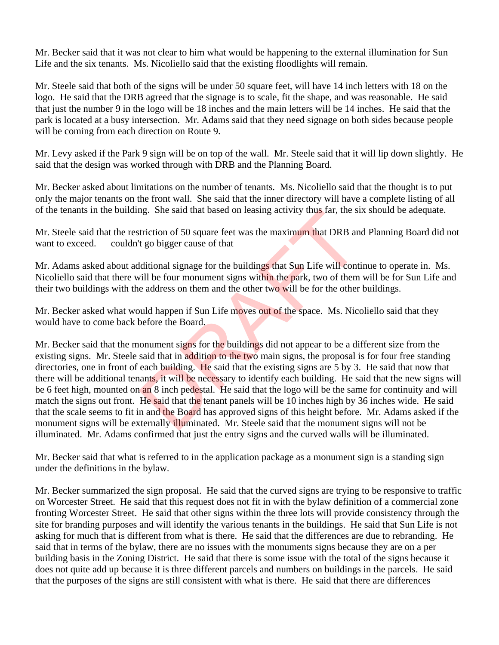Mr. Becker said that it was not clear to him what would be happening to the external illumination for Sun Life and the six tenants. Ms. Nicoliello said that the existing floodlights will remain.

Mr. Steele said that both of the signs will be under 50 square feet, will have 14 inch letters with 18 on the logo. He said that the DRB agreed that the signage is to scale, fit the shape, and was reasonable. He said that just the number 9 in the logo will be 18 inches and the main letters will be 14 inches. He said that the park is located at a busy intersection. Mr. Adams said that they need signage on both sides because people will be coming from each direction on Route 9.

Mr. Levy asked if the Park 9 sign will be on top of the wall. Mr. Steele said that it will lip down slightly. He said that the design was worked through with DRB and the Planning Board.

Mr. Becker asked about limitations on the number of tenants. Ms. Nicoliello said that the thought is to put only the major tenants on the front wall. She said that the inner directory will have a complete listing of all of the tenants in the building. She said that based on leasing activity thus far, the six should be adequate.

Mr. Steele said that the restriction of 50 square feet was the maximum that DRB and Planning Board did not want to exceed.  $\sim$  couldn't go bigger cause of that

Mr. Adams asked about additional signage for the buildings that Sun Life will continue to operate in. Ms. Nicoliello said that there will be four monument signs within the park, two of them will be for Sun Life and their two buildings with the address on them and the other two will be for the other buildings.

Mr. Becker asked what would happen if Sun Life moves out of the space. Ms. Nicoliello said that they would have to come back before the Board.

Mr. Becker said that the monument signs for the buildings did not appear to be a different size from the existing signs. Mr. Steele said that in addition to the two main signs, the proposal is for four free standing directories, one in front of each building. He said that the existing signs are 5 by 3. He said that now that there will be additional tenants, it will be necessary to identify each building. He said that the new signs will be 6 feet high, mounted on an 8 inch pedestal. He said that the logo will be the same for continuity and will match the signs out front. He said that the tenant panels will be 10 inches high by 36 inches wide. He said that the scale seems to fit in and the Board has approved signs of this height before. Mr. Adams asked if the monument signs will be externally *illuminated*. Mr. Steele said that the monument signs will not be illuminated. Mr. Adams confirmed that just the entry signs and the curved walls will be illuminated. ng. She said that based on leasing activity thus far, the siferation of 50 square feet was the maximum that DRB and the policy of the buildings that Sun Life will controll be four monument signs within the park, two of the

Mr. Becker said that what is referred to in the application package as a monument sign is a standing sign under the definitions in the bylaw.

Mr. Becker summarized the sign proposal. He said that the curved signs are trying to be responsive to traffic on Worcester Street. He said that this request does not fit in with the bylaw definition of a commercial zone fronting Worcester Street. He said that other signs within the three lots will provide consistency through the site for branding purposes and will identify the various tenants in the buildings. He said that Sun Life is not asking for much that is different from what is there. He said that the differences are due to rebranding. He said that in terms of the bylaw, there are no issues with the monuments signs because they are on a per building basis in the Zoning District. He said that there is some issue with the total of the signs because it does not quite add up because it is three different parcels and numbers on buildings in the parcels. He said that the purposes of the signs are still consistent with what is there. He said that there are differences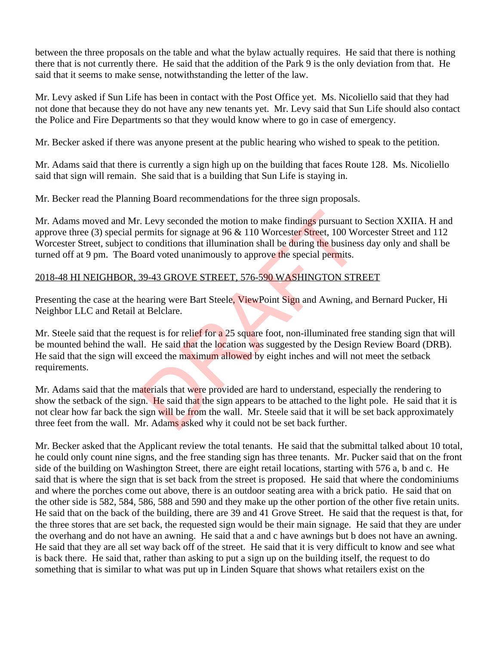between the three proposals on the table and what the bylaw actually requires. He said that there is nothing there that is not currently there. He said that the addition of the Park 9 is the only deviation from that. He said that it seems to make sense, notwithstanding the letter of the law.

Mr. Levy asked if Sun Life has been in contact with the Post Office yet. Ms. Nicoliello said that they had not done that because they do not have any new tenants yet. Mr. Levy said that Sun Life should also contact the Police and Fire Departments so that they would know where to go in case of emergency.

Mr. Becker asked if there was anyone present at the public hearing who wished to speak to the petition.

Mr. Adams said that there is currently a sign high up on the building that faces Route 128. Ms. Nicoliello said that sign will remain. She said that is a building that Sun Life is staying in.

Mr. Becker read the Planning Board recommendations for the three sign proposals.

Mr. Adams moved and Mr. Levy seconded the motion to make findings pursuant to Section XXIIA. H and approve three (3) special permits for signage at 96 & 110 Worcester Street, 100 Worcester Street and 112 Worcester Street, subject to conditions that illumination shall be during the business day only and shall be turned off at 9 pm. The Board voted unanimously to approve the special permits. Example 1. Levy seconded the motion to make findings pursuant to<br>conditions that illumination shall be during the busines<br>and voted unanimously to approve the special permits.<br>39-43 GROVE STREET, 576-590 WASHINGTON STR<br>ea

### 2018-48 HI NEIGHBOR, 39-43 GROVE STREET, 576-590 WASHINGTON STREET

Presenting the case at the hearing were Bart Steele, ViewPoint Sign and Awning, and Bernard Pucker, Hi Neighbor LLC and Retail at Belclare.

Mr. Steele said that the request is for relief for a 25 square foot, non-illuminated free standing sign that will be mounted behind the wall. He said that the location was suggested by the Design Review Board (DRB). He said that the sign will exceed the maximum allowed by eight inches and will not meet the setback requirements.

Mr. Adams said that the materials that were provided are hard to understand, especially the rendering to show the setback of the sign. He said that the sign appears to be attached to the light pole. He said that it is not clear how far back the sign will be from the wall. Mr. Steele said that it will be set back approximately three feet from the wall. Mr. Adams asked why it could not be set back further.

Mr. Becker asked that the Applicant review the total tenants. He said that the submittal talked about 10 total, he could only count nine signs, and the free standing sign has three tenants. Mr. Pucker said that on the front side of the building on Washington Street, there are eight retail locations, starting with 576 a, b and c. He said that is where the sign that is set back from the street is proposed. He said that where the condominiums and where the porches come out above, there is an outdoor seating area with a brick patio. He said that on the other side is 582, 584, 586, 588 and 590 and they make up the other portion of the other five retain units. He said that on the back of the building, there are 39 and 41 Grove Street. He said that the request is that, for the three stores that are set back, the requested sign would be their main signage. He said that they are under the overhang and do not have an awning. He said that a and c have awnings but b does not have an awning. He said that they are all set way back off of the street. He said that it is very difficult to know and see what is back there. He said that, rather than asking to put a sign up on the building itself, the request to do something that is similar to what was put up in Linden Square that shows what retailers exist on the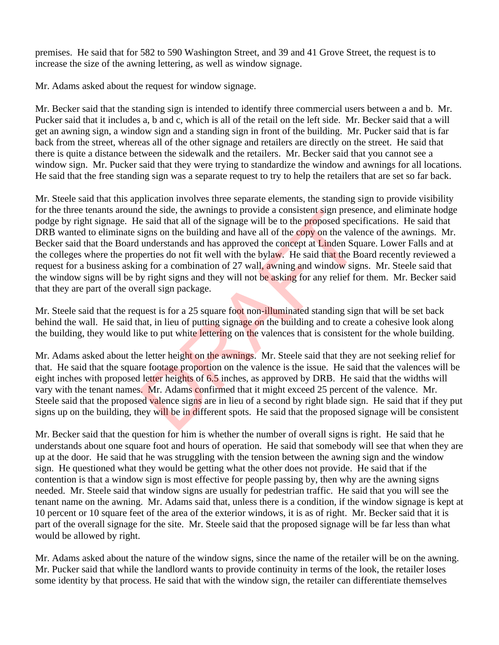premises. He said that for 582 to 590 Washington Street, and 39 and 41 Grove Street, the request is to increase the size of the awning lettering, as well as window signage.

Mr. Adams asked about the request for window signage.

Mr. Becker said that the standing sign is intended to identify three commercial users between a and b. Mr. Pucker said that it includes a, b and c, which is all of the retail on the left side. Mr. Becker said that a will get an awning sign, a window sign and a standing sign in front of the building. Mr. Pucker said that is far back from the street, whereas all of the other signage and retailers are directly on the street. He said that there is quite a distance between the sidewalk and the retailers. Mr. Becker said that you cannot see a window sign. Mr. Pucker said that they were trying to standardize the window and awnings for all locations. He said that the free standing sign was a separate request to try to help the retailers that are set so far back.

Mr. Steele said that this application involves three separate elements, the standing sign to provide visibility for the three tenants around the side, the awnings to provide a consistent sign presence, and eliminate hodge podge by right signage. He said that all of the signage will be to the proposed specifications. He said that DRB wanted to eliminate signs on the building and have all of the copy on the valence of the awnings. Mr. Becker said that the Board understands and has approved the concept at Linden Square. Lower Falls and at the colleges where the properties do not fit well with the bylaw. He said that the Board recently reviewed a request for a business asking for a combination of 27 wall, awning and window signs. Mr. Steele said that the window signs will be by right signs and they will not be asking for any relief for them. Mr. Becker said that they are part of the overall sign package. a the side, the awnings to provide a consistent sign preset e said that all of the signage will be to the **proposed** specializins on the building and have all of the **copy** on the vale understands and has approved the conc

Mr. Steele said that the request is for a 25 square foot non-illuminated standing sign that will be set back behind the wall. He said that, in lieu of putting signage on the building and to create a cohesive look along the building, they would like to put white lettering on the valences that is consistent for the whole building.

Mr. Adams asked about the letter height on the awnings. Mr. Steele said that they are not seeking relief for that. He said that the square footage proportion on the valence is the issue. He said that the valences will be eight inches with proposed letter heights of 6.5 inches, as approved by DRB. He said that the widths will vary with the tenant names. Mr. Adams confirmed that it might exceed 25 percent of the valence. Mr. Steele said that the proposed valence signs are in lieu of a second by right blade sign. He said that if they put signs up on the building, they will be in different spots. He said that the proposed signage will be consistent

Mr. Becker said that the question for him is whether the number of overall signs is right. He said that he understands about one square foot and hours of operation. He said that somebody will see that when they are up at the door. He said that he was struggling with the tension between the awning sign and the window sign. He questioned what they would be getting what the other does not provide. He said that if the contention is that a window sign is most effective for people passing by, then why are the awning signs needed. Mr. Steele said that window signs are usually for pedestrian traffic. He said that you will see the tenant name on the awning. Mr. Adams said that, unless there is a condition, if the window signage is kept at 10 percent or 10 square feet of the area of the exterior windows, it is as of right. Mr. Becker said that it is part of the overall signage for the site. Mr. Steele said that the proposed signage will be far less than what would be allowed by right.

Mr. Adams asked about the nature of the window signs, since the name of the retailer will be on the awning. Mr. Pucker said that while the landlord wants to provide continuity in terms of the look, the retailer loses some identity by that process. He said that with the window sign, the retailer can differentiate themselves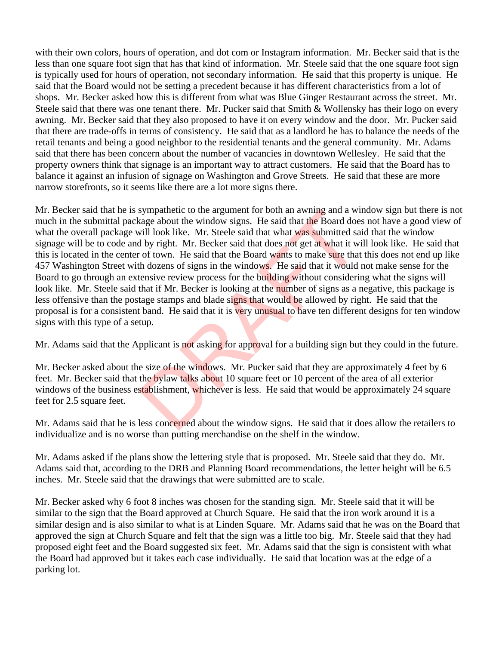with their own colors, hours of operation, and dot com or Instagram information. Mr. Becker said that is the less than one square foot sign that has that kind of information. Mr. Steele said that the one square foot sign is typically used for hours of operation, not secondary information. He said that this property is unique. He said that the Board would not be setting a precedent because it has different characteristics from a lot of shops. Mr. Becker asked how this is different from what was Blue Ginger Restaurant across the street. Mr. Steele said that there was one tenant there. Mr. Pucker said that Smith & Wollensky has their logo on every awning. Mr. Becker said that they also proposed to have it on every window and the door. Mr. Pucker said that there are trade-offs in terms of consistency. He said that as a landlord he has to balance the needs of the retail tenants and being a good neighbor to the residential tenants and the general community. Mr. Adams said that there has been concern about the number of vacancies in downtown Wellesley. He said that the property owners think that signage is an important way to attract customers. He said that the Board has to balance it against an infusion of signage on Washington and Grove Streets. He said that these are more narrow storefronts, so it seems like there are a lot more signs there.

Mr. Becker said that he is sympathetic to the argument for both an awning and a window sign but there is not much in the submittal package about the window signs. He said that the Board does not have a good view of what the overall package will look like. Mr. Steele said that what was submitted said that the window signage will be to code and by right. Mr. Becker said that does not get at what it will look like. He said that this is located in the center of town. He said that the Board wants to make sure that this does not end up like 457 Washington Street with dozens of signs in the windows. He said that it would not make sense for the Board to go through an extensive review process for the building without considering what the signs will look like. Mr. Steele said that if Mr. Becker is looking at the number of signs as a negative, this package is less offensive than the postage stamps and blade signs that would be allowed by right. He said that the proposal is for a consistent band. He said that it is very unusual to have ten different designs for ten window signs with this type of a setup. sympathetic to the argument for both an awning and a wixage about the window signs. He said that the Board doe<br>vill look like. Mr. Steele said that what was submitted sa<br>by right. Mr. Becker said that does not get at what

Mr. Adams said that the Applicant is not asking for approval for a building sign but they could in the future.

Mr. Becker asked about the size of the windows. Mr. Pucker said that they are approximately 4 feet by 6 feet. Mr. Becker said that the bylaw talks about 10 square feet or 10 percent of the area of all exterior windows of the business establishment, whichever is less. He said that would be approximately 24 square feet for 2.5 square feet.

Mr. Adams said that he is less concerned about the window signs. He said that it does allow the retailers to individualize and is no worse than putting merchandise on the shelf in the window.

Mr. Adams asked if the plans show the lettering style that is proposed. Mr. Steele said that they do. Mr. Adams said that, according to the DRB and Planning Board recommendations, the letter height will be 6.5 inches. Mr. Steele said that the drawings that were submitted are to scale.

Mr. Becker asked why 6 foot 8 inches was chosen for the standing sign. Mr. Steele said that it will be similar to the sign that the Board approved at Church Square. He said that the iron work around it is a similar design and is also similar to what is at Linden Square. Mr. Adams said that he was on the Board that approved the sign at Church Square and felt that the sign was a little too big. Mr. Steele said that they had proposed eight feet and the Board suggested six feet. Mr. Adams said that the sign is consistent with what the Board had approved but it takes each case individually. He said that location was at the edge of a parking lot.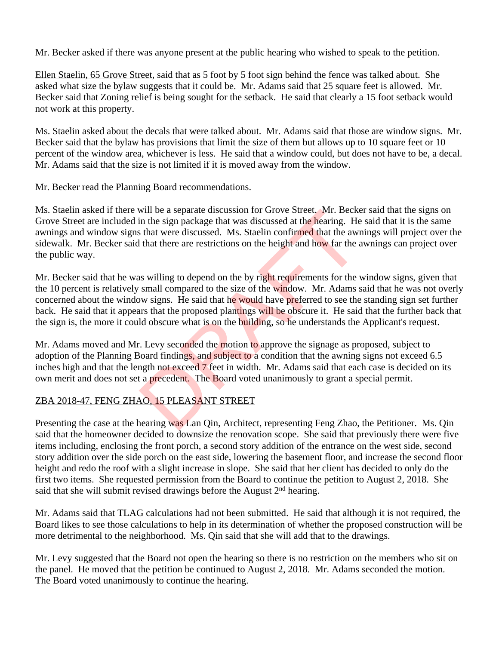Mr. Becker asked if there was anyone present at the public hearing who wished to speak to the petition.

Ellen Staelin, 65 Grove Street, said that as 5 foot by 5 foot sign behind the fence was talked about. She asked what size the bylaw suggests that it could be. Mr. Adams said that 25 square feet is allowed. Mr. Becker said that Zoning relief is being sought for the setback. He said that clearly a 15 foot setback would not work at this property.

Ms. Staelin asked about the decals that were talked about. Mr. Adams said that those are window signs. Mr. Becker said that the bylaw has provisions that limit the size of them but allows up to 10 square feet or 10 percent of the window area, whichever is less. He said that a window could, but does not have to be, a decal. Mr. Adams said that the size is not limited if it is moved away from the window.

Mr. Becker read the Planning Board recommendations.

Ms. Staelin asked if there will be a separate discussion for Grove Street. Mr. Becker said that the signs on Grove Street are included in the sign package that was discussed at the hearing. He said that it is the same awnings and window signs that were discussed. Ms. Staelin confirmed that the awnings will project over the sidewalk. Mr. Becker said that there are restrictions on the height and how far the awnings can project over the public way.

Mr. Becker said that he was willing to depend on the by right requirements for the window signs, given that the 10 percent is relatively small compared to the size of the window. Mr. Adams said that he was not overly concerned about the window signs. He said that he would have preferred to see the standing sign set further back. He said that it appears that the proposed plantings will be obscure it. He said that the further back that the sign is, the more it could obscure what is on the building, so he understands the Applicant's request. will be a separate discussion for Grove Street. Mr. Becket<br>in the sign package that was discussed at the hearing. He<br>s that were discussed. Ms. Staelin confirmed that the awith that there are restrictions on the height and

Mr. Adams moved and Mr. Levy seconded the motion to approve the signage as proposed, subject to adoption of the Planning Board findings, and subject to a condition that the awning signs not exceed 6.5 inches high and that the length not exceed 7 feet in width. Mr. Adams said that each case is decided on its own merit and does not set a precedent. The Board voted unanimously to grant a special permit.

# ZBA 2018-47, FENG ZHAO, 15 PLEASANT STREET

Presenting the case at the hearing was Lan Qin, Architect, representing Feng Zhao, the Petitioner. Ms. Qin said that the homeowner decided to downsize the renovation scope. She said that previously there were five items including, enclosing the front porch, a second story addition of the entrance on the west side, second story addition over the side porch on the east side, lowering the basement floor, and increase the second floor height and redo the roof with a slight increase in slope. She said that her client has decided to only do the first two items. She requested permission from the Board to continue the petition to August 2, 2018. She said that she will submit revised drawings before the August 2<sup>nd</sup> hearing.

Mr. Adams said that TLAG calculations had not been submitted. He said that although it is not required, the Board likes to see those calculations to help in its determination of whether the proposed construction will be more detrimental to the neighborhood. Ms. Qin said that she will add that to the drawings.

Mr. Levy suggested that the Board not open the hearing so there is no restriction on the members who sit on the panel. He moved that the petition be continued to August 2, 2018. Mr. Adams seconded the motion. The Board voted unanimously to continue the hearing.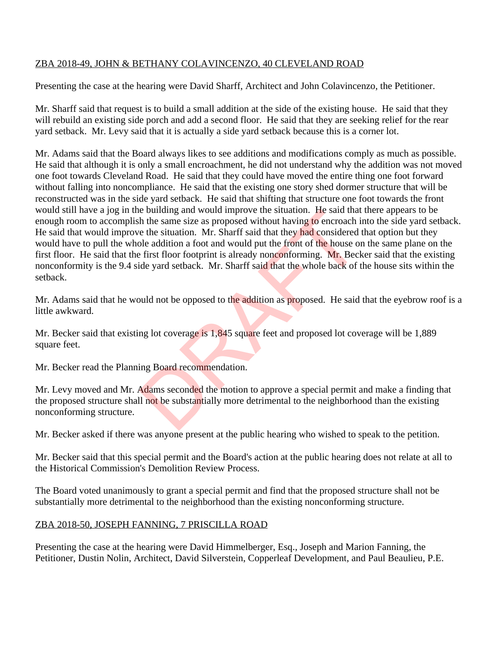## ZBA 2018-49, JOHN & BETHANY COLAVINCENZO, 40 CLEVELAND ROAD

Presenting the case at the hearing were David Sharff, Architect and John Colavincenzo, the Petitioner.

Mr. Sharff said that request is to build a small addition at the side of the existing house. He said that they will rebuild an existing side porch and add a second floor. He said that they are seeking relief for the rear yard setback. Mr. Levy said that it is actually a side yard setback because this is a corner lot.

Mr. Adams said that the Board always likes to see additions and modifications comply as much as possible. He said that although it is only a small encroachment, he did not understand why the addition was not moved one foot towards Cleveland Road. He said that they could have moved the entire thing one foot forward without falling into noncompliance. He said that the existing one story shed dormer structure that will be reconstructed was in the side yard setback. He said that shifting that structure one foot towards the front would still have a jog in the building and would improve the situation. He said that there appears to be enough room to accomplish the same size as proposed without having to encroach into the side yard setback. He said that would improve the situation. Mr. Sharff said that they had considered that option but they would have to pull the whole addition a foot and would put the front of the house on the same plane on the first floor. He said that the first floor footprint is already nonconforming. Mr. Becker said that the existing nonconformity is the 9.4 side yard setback. Mr. Sharff said that the whole back of the house sits within the setback. e bullary and would improve the situation. He said that<br>the same size as proposed without having to encroach is<br>the stuation. Mr. Sharff said that they had considered<br>ole addition a foot and would put the front of the hous

Mr. Adams said that he would not be opposed to the addition as proposed. He said that the eyebrow roof is a little awkward.

Mr. Becker said that existing lot coverage is 1,845 square feet and proposed lot coverage will be 1,889 square feet.

Mr. Becker read the Planning Board recommendation.

Mr. Levy moved and Mr. Adams seconded the motion to approve a special permit and make a finding that the proposed structure shall not be substantially more detrimental to the neighborhood than the existing nonconforming structure.

Mr. Becker asked if there was anyone present at the public hearing who wished to speak to the petition.

Mr. Becker said that this special permit and the Board's action at the public hearing does not relate at all to the Historical Commission's Demolition Review Process.

The Board voted unanimously to grant a special permit and find that the proposed structure shall not be substantially more detrimental to the neighborhood than the existing nonconforming structure.

### ZBA 2018-50, JOSEPH FANNING, 7 PRISCILLA ROAD

Presenting the case at the hearing were David Himmelberger, Esq., Joseph and Marion Fanning, the Petitioner, Dustin Nolin, Architect, David Silverstein, Copperleaf Development, and Paul Beaulieu, P.E.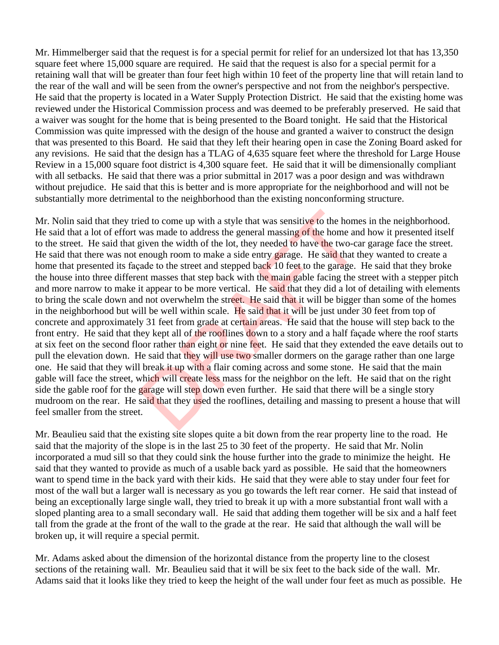Mr. Himmelberger said that the request is for a special permit for relief for an undersized lot that has 13,350 square feet where 15,000 square are required. He said that the request is also for a special permit for a retaining wall that will be greater than four feet high within 10 feet of the property line that will retain land to the rear of the wall and will be seen from the owner's perspective and not from the neighbor's perspective. He said that the property is located in a Water Supply Protection District. He said that the existing home was reviewed under the Historical Commission process and was deemed to be preferably preserved. He said that a waiver was sought for the home that is being presented to the Board tonight. He said that the Historical Commission was quite impressed with the design of the house and granted a waiver to construct the design that was presented to this Board. He said that they left their hearing open in case the Zoning Board asked for any revisions. He said that the design has a TLAG of 4,635 square feet where the threshold for Large House Review in a 15,000 square foot district is 4,300 square feet. He said that it will be dimensionally compliant with all setbacks. He said that there was a prior submittal in 2017 was a poor design and was withdrawn without prejudice. He said that this is better and is more appropriate for the neighborhood and will not be substantially more detrimental to the neighborhood than the existing nonconforming structure.

Mr. Nolin said that they tried to come up with a style that was sensitive to the homes in the neighborhood. He said that a lot of effort was made to address the general massing of the home and how it presented itself to the street. He said that given the width of the lot, they needed to have the two-car garage face the street. He said that there was not enough room to make a side entry garage. He said that they wanted to create a home that presented its façade to the street and stepped back 10 feet to the garage. He said that they broke the house into three different masses that step back with the main gable facing the street with a stepper pitch and more narrow to make it appear to be more vertical. He said that they did a lot of detailing with elements to bring the scale down and not overwhelm the street. He said that it will be bigger than some of the homes in the neighborhood but will be well within scale. He said that it will be just under 30 feet from top of concrete and approximately 31 feet from grade at certain areas. He said that the house will step back to the front entry. He said that they kept all of the rooflines down to a story and a half façade where the roof starts at six feet on the second floor rather than eight or nine feet. He said that they extended the eave details out to pull the elevation down. He said that they will use two smaller dormers on the garage rather than one large one. He said that they will break it up with a flair coming across and some stone. He said that the main gable will face the street, which will create less mass for the neighbor on the left. He said that on the right side the gable roof for the garage will step down even further. He said that there will be a single story mudroom on the rear. He said that they used the rooflines, detailing and massing to present a house that will feel smaller from the street. ied to come up with a style that was sensitive to the home<br>was made to address the general massing of the home<br>anity and the bot the lot, they needed to have the two-ca<br>enough room to make a side entry garage. He said that

Mr. Beaulieu said that the existing site slopes quite a bit down from the rear property line to the road. He said that the majority of the slope is in the last 25 to 30 feet of the property. He said that Mr. Nolin incorporated a mud sill so that they could sink the house further into the grade to minimize the height. He said that they wanted to provide as much of a usable back yard as possible. He said that the homeowners want to spend time in the back yard with their kids. He said that they were able to stay under four feet for most of the wall but a larger wall is necessary as you go towards the left rear corner. He said that instead of being an exceptionally large single wall, they tried to break it up with a more substantial front wall with a sloped planting area to a small secondary wall. He said that adding them together will be six and a half feet tall from the grade at the front of the wall to the grade at the rear. He said that although the wall will be broken up, it will require a special permit.

Mr. Adams asked about the dimension of the horizontal distance from the property line to the closest sections of the retaining wall. Mr. Beaulieu said that it will be six feet to the back side of the wall. Mr. Adams said that it looks like they tried to keep the height of the wall under four feet as much as possible. He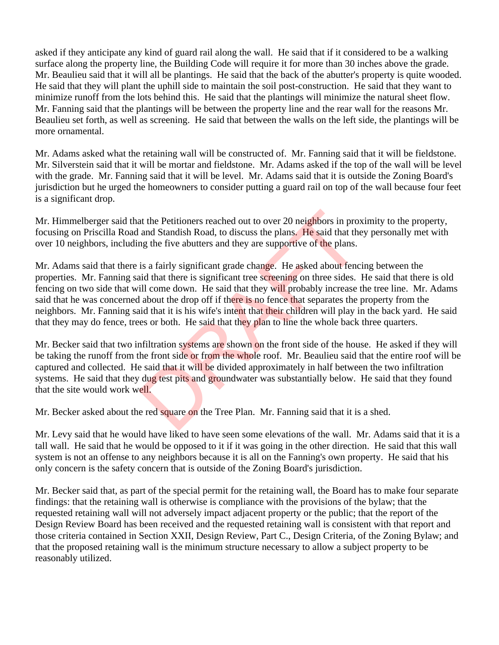asked if they anticipate any kind of guard rail along the wall. He said that if it considered to be a walking surface along the property line, the Building Code will require it for more than 30 inches above the grade. Mr. Beaulieu said that it will all be plantings. He said that the back of the abutter's property is quite wooded. He said that they will plant the uphill side to maintain the soil post-construction. He said that they want to minimize runoff from the lots behind this. He said that the plantings will minimize the natural sheet flow. Mr. Fanning said that the plantings will be between the property line and the rear wall for the reasons Mr. Beaulieu set forth, as well as screening. He said that between the walls on the left side, the plantings will be more ornamental.

Mr. Adams asked what the retaining wall will be constructed of. Mr. Fanning said that it will be fieldstone. Mr. Silverstein said that it will be mortar and fieldstone. Mr. Adams asked if the top of the wall will be level with the grade. Mr. Fanning said that it will be level. Mr. Adams said that it is outside the Zoning Board's jurisdiction but he urged the homeowners to consider putting a guard rail on top of the wall because four feet is a significant drop.

Mr. Himmelberger said that the Petitioners reached out to over 20 neighbors in proximity to the property, focusing on Priscilla Road and Standish Road, to discuss the plans. He said that they personally met with over 10 neighbors, including the five abutters and they are supportive of the plans.

Mr. Adams said that there is a fairly significant grade change. He asked about fencing between the properties. Mr. Fanning said that there is significant tree screening on three sides. He said that there is old fencing on two side that will come down. He said that they will probably increase the tree line. Mr. Adams said that he was concerned about the drop off if there is no fence that separates the property from the neighbors. Mr. Fanning said that it is his wife's intent that their children will play in the back yard. He said that they may do fence, trees or both. He said that they plan to line the whole back three quarters. at the Petitioners reached out to over 20 neighbors in promoted and Standish Road, to discuss the plans. He said that the mag the five abutters and they are supportive of the plans.<br>
is a fairly significant grade change. H

Mr. Becker said that two infiltration systems are shown on the front side of the house. He asked if they will be taking the runoff from the front side or from the whole roof. Mr. Beaulieu said that the entire roof will be captured and collected. He said that it will be divided approximately in half between the two infiltration systems. He said that they dug test pits and groundwater was substantially below. He said that they found that the site would work well.

Mr. Becker asked about the red square on the Tree Plan. Mr. Fanning said that it is a shed.

Mr. Levy said that he would have liked to have seen some elevations of the wall. Mr. Adams said that it is a tall wall. He said that he would be opposed to it if it was going in the other direction. He said that this wall system is not an offense to any neighbors because it is all on the Fanning's own property. He said that his only concern is the safety concern that is outside of the Zoning Board's jurisdiction.

Mr. Becker said that, as part of the special permit for the retaining wall, the Board has to make four separate findings: that the retaining wall is otherwise is compliance with the provisions of the bylaw; that the requested retaining wall will not adversely impact adjacent property or the public; that the report of the Design Review Board has been received and the requested retaining wall is consistent with that report and those criteria contained in Section XXII, Design Review, Part C., Design Criteria, of the Zoning Bylaw; and that the proposed retaining wall is the minimum structure necessary to allow a subject property to be reasonably utilized.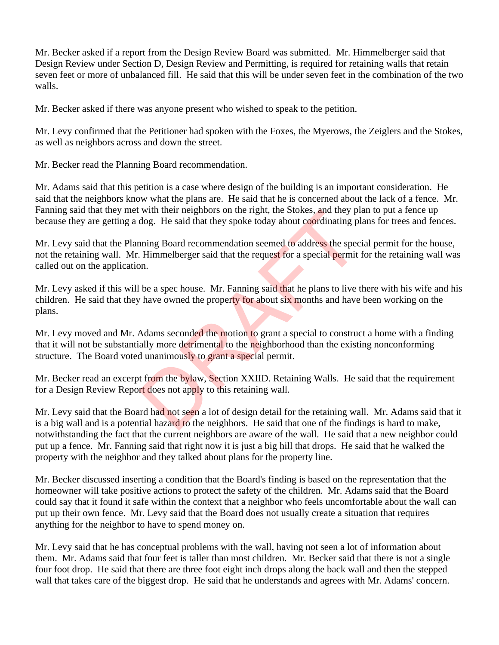Mr. Becker asked if a report from the Design Review Board was submitted. Mr. Himmelberger said that Design Review under Section D, Design Review and Permitting, is required for retaining walls that retain seven feet or more of unbalanced fill. He said that this will be under seven feet in the combination of the two walls.

Mr. Becker asked if there was anyone present who wished to speak to the petition.

Mr. Levy confirmed that the Petitioner had spoken with the Foxes, the Myerows, the Zeiglers and the Stokes, as well as neighbors across and down the street.

Mr. Becker read the Planning Board recommendation.

Mr. Adams said that this petition is a case where design of the building is an important consideration. He said that the neighbors know what the plans are. He said that he is concerned about the lack of a fence. Mr. Fanning said that they met with their neighbors on the right, the Stokes, and they plan to put a fence up because they are getting a dog. He said that they spoke today about coordinating plans for trees and fences.

Mr. Levy said that the Planning Board recommendation seemed to address the special permit for the house, not the retaining wall. Mr. Himmelberger said that the request for a special permit for the retaining wall was called out on the application. with their neighbors on the right, the stokes, and they pidog. He said that they spoke today about coordinating pl<br>ning Board recommendation seemed to address the spec<br>Himmelberger said that the request for a special permi

Mr. Levy asked if this will be a spec house. Mr. Fanning said that he plans to live there with his wife and his children. He said that they have owned the property for about six months and have been working on the plans.

Mr. Levy moved and Mr. Adams seconded the motion to grant a special to construct a home with a finding that it will not be substantially more detrimental to the neighborhood than the existing nonconforming structure. The Board voted unanimously to grant a special permit.

Mr. Becker read an excerpt from the bylaw, Section XXIID. Retaining Walls. He said that the requirement for a Design Review Report does not apply to this retaining wall.

Mr. Levy said that the Board had not seen a lot of design detail for the retaining wall. Mr. Adams said that it is a big wall and is a potential hazard to the neighbors. He said that one of the findings is hard to make, notwithstanding the fact that the current neighbors are aware of the wall. He said that a new neighbor could put up a fence. Mr. Fanning said that right now it is just a big hill that drops. He said that he walked the property with the neighbor and they talked about plans for the property line.

Mr. Becker discussed inserting a condition that the Board's finding is based on the representation that the homeowner will take positive actions to protect the safety of the children. Mr. Adams said that the Board could say that it found it safe within the context that a neighbor who feels uncomfortable about the wall can put up their own fence. Mr. Levy said that the Board does not usually create a situation that requires anything for the neighbor to have to spend money on.

Mr. Levy said that he has conceptual problems with the wall, having not seen a lot of information about them. Mr. Adams said that four feet is taller than most children. Mr. Becker said that there is not a single four foot drop. He said that there are three foot eight inch drops along the back wall and then the stepped wall that takes care of the biggest drop. He said that he understands and agrees with Mr. Adams' concern.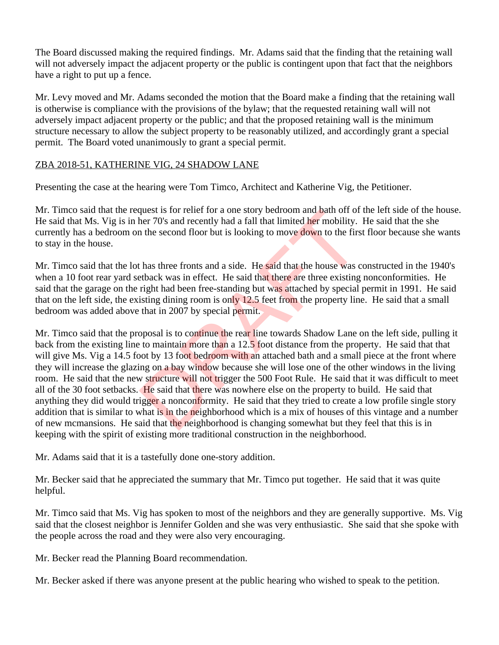The Board discussed making the required findings. Mr. Adams said that the finding that the retaining wall will not adversely impact the adjacent property or the public is contingent upon that fact that the neighbors have a right to put up a fence.

Mr. Levy moved and Mr. Adams seconded the motion that the Board make a finding that the retaining wall is otherwise is compliance with the provisions of the bylaw; that the requested retaining wall will not adversely impact adjacent property or the public; and that the proposed retaining wall is the minimum structure necessary to allow the subject property to be reasonably utilized, and accordingly grant a special permit. The Board voted unanimously to grant a special permit.

## ZBA 2018-51, KATHERINE VIG, 24 SHADOW LANE

Presenting the case at the hearing were Tom Timco, Architect and Katherine Vig, the Petitioner.

Mr. Timco said that the request is for relief for a one story bedroom and bath off of the left side of the house. He said that Ms. Vig is in her 70's and recently had a fall that limited her mobility. He said that the she currently has a bedroom on the second floor but is looking to move down to the first floor because she wants to stay in the house.

Mr. Timco said that the lot has three fronts and a side. He said that the house was constructed in the 1940's when a 10 foot rear yard setback was in effect. He said that there are three existing nonconformities. He said that the garage on the right had been free-standing but was attached by special permit in 1991. He said that on the left side, the existing dining room is only 12.5 feet from the property line. He said that a small bedroom was added above that in 2007 by special permit.

Mr. Timco said that the proposal is to continue the rear line towards Shadow Lane on the left side, pulling it back from the existing line to maintain more than a 12.5 foot distance from the property. He said that that will give Ms. Vig a 14.5 foot by 13 foot bedroom with an attached bath and a small piece at the front where they will increase the glazing on a bay window because she will lose one of the other windows in the living room. He said that the new structure will not trigger the 500 Foot Rule. He said that it was difficult to meet all of the 30 foot setbacks. He said that there was nowhere else on the property to build. He said that anything they did would trigger a nonconformity. He said that they tried to create a low profile single story addition that is similar to what is in the neighborhood which is a mix of houses of this vintage and a number of new mcmansions. He said that the neighborhood is changing somewhat but they feel that this is in keeping with the spirit of existing more traditional construction in the neighborhood. quest is for renet for a one story bedroom and path off or<br>ther 70's and recently had a fall that limited her mobility.<br>The second floor but is looking to move down to the first<br>thas three fronts and a side. He said that t

Mr. Adams said that it is a tastefully done one-story addition.

Mr. Becker said that he appreciated the summary that Mr. Timco put together. He said that it was quite helpful.

Mr. Timco said that Ms. Vig has spoken to most of the neighbors and they are generally supportive. Ms. Vig said that the closest neighbor is Jennifer Golden and she was very enthusiastic. She said that she spoke with the people across the road and they were also very encouraging.

Mr. Becker read the Planning Board recommendation.

Mr. Becker asked if there was anyone present at the public hearing who wished to speak to the petition.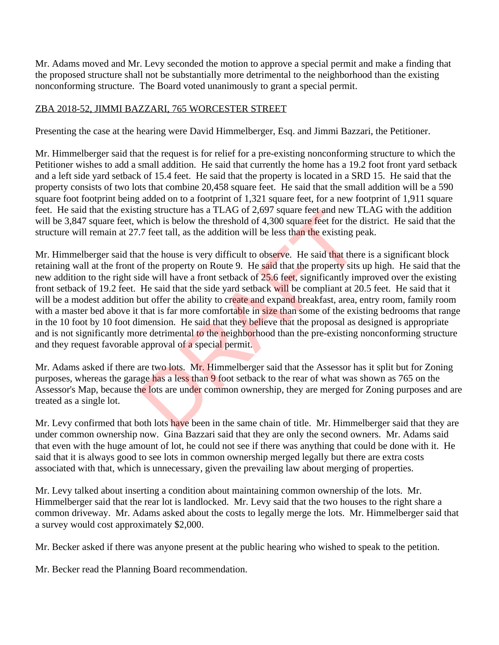Mr. Adams moved and Mr. Levy seconded the motion to approve a special permit and make a finding that the proposed structure shall not be substantially more detrimental to the neighborhood than the existing nonconforming structure. The Board voted unanimously to grant a special permit.

## ZBA 2018-52, JIMMI BAZZARI, 765 WORCESTER STREET

Presenting the case at the hearing were David Himmelberger, Esq. and Jimmi Bazzari, the Petitioner.

Mr. Himmelberger said that the request is for relief for a pre-existing nonconforming structure to which the Petitioner wishes to add a small addition. He said that currently the home has a 19.2 foot front yard setback and a left side yard setback of 15.4 feet. He said that the property is located in a SRD 15. He said that the property consists of two lots that combine 20,458 square feet. He said that the small addition will be a 590 square foot footprint being added on to a footprint of 1,321 square feet, for a new footprint of 1,911 square feet. He said that the existing structure has a TLAG of 2,697 square feet and new TLAG with the addition will be 3,847 square feet, which is below the threshold of 4,300 square feet for the district. He said that the structure will remain at 27.7 feet tall, as the addition will be less than the existing peak.

Mr. Himmelberger said that the house is very difficult to observe. He said that there is a significant block retaining wall at the front of the property on Route 9. He said that the property sits up high. He said that the new addition to the right side will have a front setback of 25.6 feet, significantly improved over the existing front setback of 19.2 feet. He said that the side yard setback will be compliant at 20.5 feet. He said that it will be a modest addition but offer the ability to create and expand breakfast, area, entry room, family room with a master bed above it that is far more comfortable in size than some of the existing bedrooms that range in the 10 foot by 10 foot dimension. He said that they believe that the proposal as designed is appropriate and is not significantly more detrimental to the neighborhood than the pre-existing nonconforming structure and they request favorable approval of a special permit. Ing structure has a 1LAG of  $2,697$  square reet and new 1<br>which is below the threshold of 4,300 square feet for the e-7 feet tall, as the addition will be less than the existing p<br>at the house is very difficult to observe

Mr. Adams asked if there are two lots. Mr. Himmelberger said that the Assessor has it split but for Zoning purposes, whereas the garage has a less than 9 foot setback to the rear of what was shown as 765 on the Assessor's Map, because the lots are under common ownership, they are merged for Zoning purposes and are treated as a single lot.

Mr. Levy confirmed that both lots have been in the same chain of title. Mr. Himmelberger said that they are under common ownership now. Gina Bazzari said that they are only the second owners. Mr. Adams said that even with the huge amount of lot, he could not see if there was anything that could be done with it. He said that it is always good to see lots in common ownership merged legally but there are extra costs associated with that, which is unnecessary, given the prevailing law about merging of properties.

Mr. Levy talked about inserting a condition about maintaining common ownership of the lots. Mr. Himmelberger said that the rear lot is landlocked. Mr. Levy said that the two houses to the right share a common driveway. Mr. Adams asked about the costs to legally merge the lots. Mr. Himmelberger said that a survey would cost approximately \$2,000.

Mr. Becker asked if there was anyone present at the public hearing who wished to speak to the petition.

Mr. Becker read the Planning Board recommendation.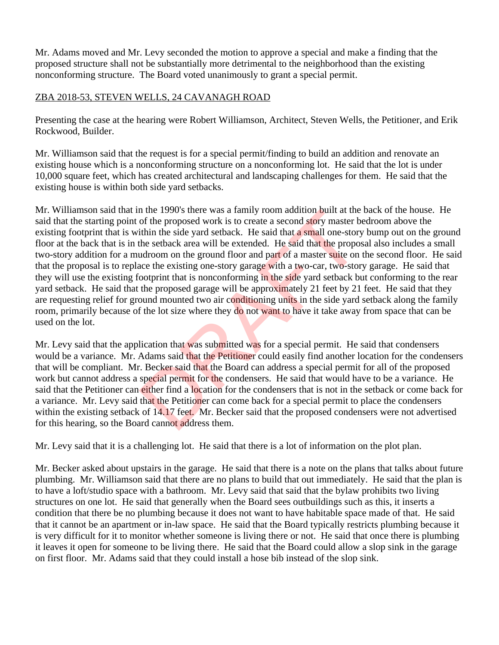Mr. Adams moved and Mr. Levy seconded the motion to approve a special and make a finding that the proposed structure shall not be substantially more detrimental to the neighborhood than the existing nonconforming structure. The Board voted unanimously to grant a special permit.

### ZBA 2018-53, STEVEN WELLS, 24 CAVANAGH ROAD

Presenting the case at the hearing were Robert Williamson, Architect, Steven Wells, the Petitioner, and Erik Rockwood, Builder.

Mr. Williamson said that the request is for a special permit/finding to build an addition and renovate an existing house which is a nonconforming structure on a nonconforming lot. He said that the lot is under 10,000 square feet, which has created architectural and landscaping challenges for them. He said that the existing house is within both side yard setbacks.

Mr. Williamson said that in the 1990's there was a family room addition built at the back of the house. He said that the starting point of the proposed work is to create a second story master bedroom above the existing footprint that is within the side yard setback. He said that a small one-story bump out on the ground floor at the back that is in the setback area will be extended. He said that the proposal also includes a small two-story addition for a mudroom on the ground floor and part of a master suite on the second floor. He said that the proposal is to replace the existing one-story garage with a two-car, two-story garage. He said that they will use the existing footprint that is nonconforming in the side yard setback but conforming to the rear yard setback. He said that the proposed garage will be approximately 21 feet by 21 feet. He said that they are requesting relief for ground mounted two air conditioning units in the side yard setback along the family room, primarily because of the lot size where they do not want to have it take away from space that can be used on the lot. In the 1990's there was a ramity room addition built at the<br>of the proposed work is to create a second story master b<br>tithin the side yard setback. He said that **a** small one-stor-<br>the setback area will be extended. He sai

Mr. Levy said that the application that was submitted was for a special permit. He said that condensers would be a variance. Mr. Adams said that the Petitioner could easily find another location for the condensers that will be compliant. Mr. Becker said that the Board can address a special permit for all of the proposed work but cannot address a special permit for the condensers. He said that would have to be a variance. He said that the Petitioner can either find a location for the condensers that is not in the setback or come back for a variance. Mr. Levy said that the Petitioner can come back for a special permit to place the condensers within the existing setback of 14.17 feet. Mr. Becker said that the proposed condensers were not advertised for this hearing, so the Board cannot address them.

Mr. Levy said that it is a challenging lot. He said that there is a lot of information on the plot plan.

Mr. Becker asked about upstairs in the garage. He said that there is a note on the plans that talks about future plumbing. Mr. Williamson said that there are no plans to build that out immediately. He said that the plan is to have a loft/studio space with a bathroom. Mr. Levy said that said that the bylaw prohibits two living structures on one lot. He said that generally when the Board sees outbuildings such as this, it inserts a condition that there be no plumbing because it does not want to have habitable space made of that. He said that it cannot be an apartment or in-law space. He said that the Board typically restricts plumbing because it is very difficult for it to monitor whether someone is living there or not. He said that once there is plumbing it leaves it open for someone to be living there. He said that the Board could allow a slop sink in the garage on first floor. Mr. Adams said that they could install a hose bib instead of the slop sink.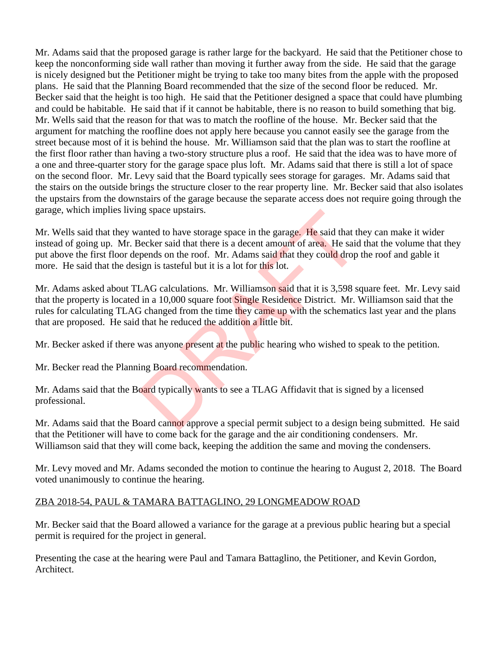Mr. Adams said that the proposed garage is rather large for the backyard. He said that the Petitioner chose to keep the nonconforming side wall rather than moving it further away from the side. He said that the garage is nicely designed but the Petitioner might be trying to take too many bites from the apple with the proposed plans. He said that the Planning Board recommended that the size of the second floor be reduced. Mr. Becker said that the height is too high. He said that the Petitioner designed a space that could have plumbing and could be habitable. He said that if it cannot be habitable, there is no reason to build something that big. Mr. Wells said that the reason for that was to match the roofline of the house. Mr. Becker said that the argument for matching the roofline does not apply here because you cannot easily see the garage from the street because most of it is behind the house. Mr. Williamson said that the plan was to start the roofline at the first floor rather than having a two-story structure plus a roof. He said that the idea was to have more of a one and three-quarter story for the garage space plus loft. Mr. Adams said that there is still a lot of space on the second floor. Mr. Levy said that the Board typically sees storage for garages. Mr. Adams said that the stairs on the outside brings the structure closer to the rear property line. Mr. Becker said that also isolates the upstairs from the downstairs of the garage because the separate access does not require going through the garage, which implies living space upstairs.

Mr. Wells said that they wanted to have storage space in the garage. He said that they can make it wider instead of going up. Mr. Becker said that there is a decent amount of area. He said that the volume that they put above the first floor depends on the roof. Mr. Adams said that they could drop the roof and gable it more. He said that the design is tasteful but it is a lot for this lot. ig space upstairs.<br>
anted to have storage space in the garage. He said that the<br>
becker said that there is a decent amount of area. He said<br>
pends on the roof. Mr. Adams said that they could drop<br>
ign is tasteful but it is

Mr. Adams asked about TLAG calculations. Mr. Williamson said that it is 3,598 square feet. Mr. Levy said that the property is located in a 10,000 square foot Single Residence District. Mr. Williamson said that the rules for calculating TLAG changed from the time they came up with the schematics last year and the plans that are proposed. He said that he reduced the addition a little bit.

Mr. Becker asked if there was anyone present at the public hearing who wished to speak to the petition.

Mr. Becker read the Planning Board recommendation.

Mr. Adams said that the Board typically wants to see a TLAG Affidavit that is signed by a licensed professional.

Mr. Adams said that the Board cannot approve a special permit subject to a design being submitted. He said that the Petitioner will have to come back for the garage and the air conditioning condensers. Mr. Williamson said that they will come back, keeping the addition the same and moving the condensers.

Mr. Levy moved and Mr. Adams seconded the motion to continue the hearing to August 2, 2018. The Board voted unanimously to continue the hearing.

# ZBA 2018-54, PAUL & TAMARA BATTAGLINO, 29 LONGMEADOW ROAD

Mr. Becker said that the Board allowed a variance for the garage at a previous public hearing but a special permit is required for the project in general.

Presenting the case at the hearing were Paul and Tamara Battaglino, the Petitioner, and Kevin Gordon, Architect.